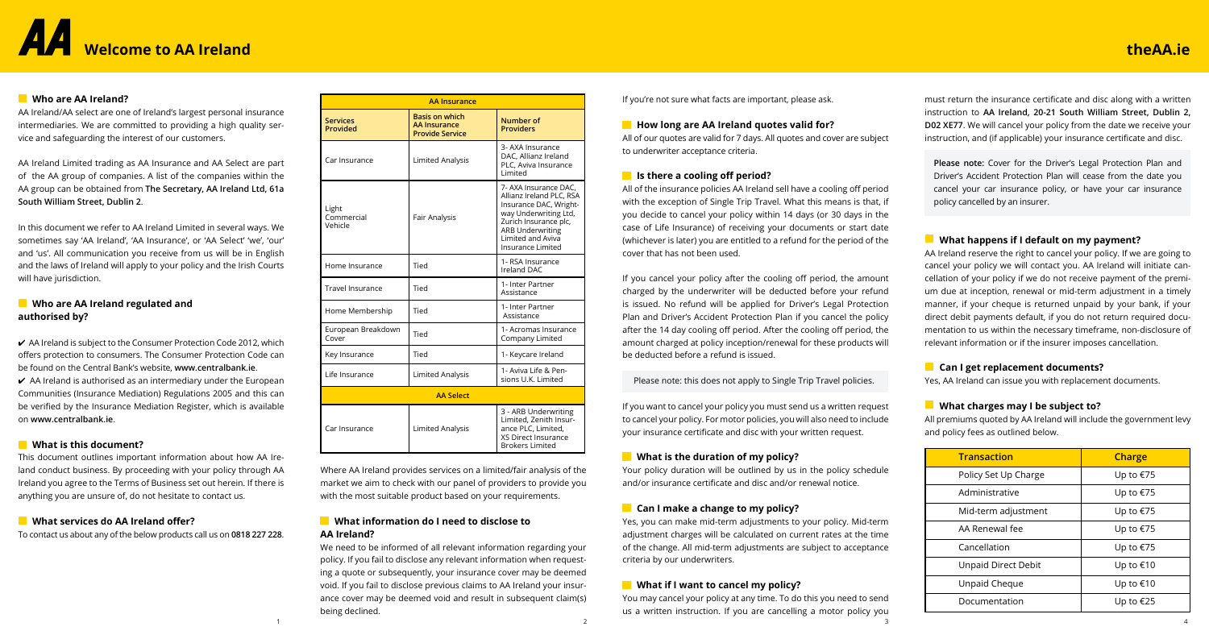# **Welcome to AA Ireland**

must return the insurance certificate and disc along with a written instruction to **AA Ireland, 20-21 South William Street, Dublin 2, D02 XE77**. We will cancel your policy from the date we receive your instruction, and (if applicable) your insurance certificate and disc.

**Please note:** Cover for the Driver's Legal Protection Plan and Driver's Accident Protection Plan will cease from the date you cancel your car insurance policy, or have your car insurance policy cancelled by an insurer.

## **What happens if I default on my payment?**

AA Ireland reserve the right to cancel your policy. If we are going to cancel your policy we will contact you. AA Ireland will initiate cancellation of your policy if we do not receive payment of the premium due at inception, renewal or mid-term adjustment in a timely manner, if your cheque is returned unpaid by your bank, if your direct debit payments default, if you do not return required documentation to us within the necessary timeframe, non-disclosure of relevant information or if the insurer imposes cancellation.

## **Can I get replacement documents?**

Yes, AA Ireland can issue you with replacement documents.

## **What charges may I be subject to?**

All premiums quoted by AA Ireland will include the government levy and policy fees as outlined below.



If you're not sure what facts are important, please ask.

## **How long are AA Ireland quotes valid for?**

All of our quotes are valid for 7 days. All quotes and cover are subject to underwriter acceptance criteria.

## **If** Is there a cooling off period?

You may cancel your policy at any time. To do this you need to send us a written instruction. If you are cancelling a motor policy you 1  $\frac{2}{3}$  4

All of the insurance policies AA Ireland sell have a cooling off period with the exception of Single Trip Travel. What this means is that, if you decide to cancel your policy within 14 days (or 30 days in the case of Life Insurance) of receiving your documents or start date (whichever is later) you are entitled to a refund for the period of the cover that has not been used.

If you cancel your policy after the cooling off period, the amount charged by the underwriter will be deducted before your refund is issued. No refund will be applied for Driver's Legal Protection Plan and Driver's Accident Protection Plan if you cancel the policy after the 14 day cooling off period. After the cooling off period, the amount charged at policy inception/renewal for these products will be deducted before a refund is issued.

Please note: this does not apply to Single Trip Travel policies.

 $\vee$  AA Ireland is subject to the Consumer Protection Code 2012, which offers protection to consumers. The Consumer Protection Code can be found on the Central Bank's website, **www.centralbank.ie**.

 $\vee$  AA Ireland is authorised as an intermediary under the European Communities (Insurance Mediation) Regulations 2005 and this can be verified by the Insurance Mediation Register, which is available on **www.centralbank.ie**.

If you want to cancel your policy you must send us a written request to cancel your policy. For motor policies, you will also need to include your insurance certificate and disc with your written request.

## **What is the duration of my policy?**

Your policy duration will be outlined by us in the policy schedule and/or insurance certificate and disc and/or renewal notice.

## **Can I make a change to my policy?**

Yes, you can make mid-term adjustments to your policy. Mid-term adjustment charges will be calculated on current rates at the time of the change. All mid-term adjustments are subject to acceptance criteria by our underwriters.

## **What if I want to cancel my policy?**

Where AA Ireland provides services on a limited/fair analysis of the market we aim to check with our panel of providers to provide you with the most suitable product based on your requirements.

## **What information do I need to disclose to AA Ireland?**

We need to be informed of all relevant information regarding your policy. If you fail to disclose any relevant information when requesting a quote or subsequently, your insurance cover may be deemed void. If you fail to disclose previous claims to AA Ireland your insurance cover may be deemed void and result in subsequent claim(s) being declined.

## **Who are AA Ireland?**

AA Ireland/AA select are one of Ireland's largest personal insurance intermediaries. We are committed to providing a high quality service and safeguarding the interest of our customers.

AA Ireland Limited trading as AA Insurance and AA Select are part of the AA group of companies. A list of the companies within the AA group can be obtained from **The Secretary, AA Ireland Ltd, 61a South William Street, Dublin 2**.

In this document we refer to AA Ireland Limited in several ways. We sometimes say 'AA Ireland', 'AA Insurance', or 'AA Select' 'we', 'our' and 'us'. All communication you receive from us will be in English and the laws of Ireland will apply to your policy and the Irish Courts will have jurisdiction.

## **Who are AA Ireland regulated and authorised by?**

## **What is this document?**

This document outlines important information about how AA Ireland conduct business. By proceeding with your policy through AA Ireland you agree to the Terms of Business set out herein. If there is anything you are unsure of, do not hesitate to contact us.

## **What services do AA Ireland offer?**

To contact us about any of the below products call us on **0818 227 228**.

| <b>Transaction</b>         | Charge    |  |
|----------------------------|-----------|--|
| Policy Set Up Charge       | Up to €75 |  |
| Administrative             | Up to €75 |  |
| Mid-term adjustment        | Up to €75 |  |
| AA Renewal fee             | Up to €75 |  |
| Cancellation               | Up to €75 |  |
| <b>Unpaid Direct Debit</b> | Up to €10 |  |
| Unpaid Cheque              | Up to €10 |  |
| Documentation              | Up to €25 |  |

## **theAA.ie**

| <b>AA Insurance</b>            |                                                                        |                                                                                                                                                                                                    |
|--------------------------------|------------------------------------------------------------------------|----------------------------------------------------------------------------------------------------------------------------------------------------------------------------------------------------|
| <b>Services</b><br>Provided    | <b>Basis on which</b><br><b>AA Insurance</b><br><b>Provide Service</b> | Number of<br><b>Providers</b>                                                                                                                                                                      |
| Car Insurance                  | Limited Analysis                                                       | 3- AXA Insurance<br>DAC, Allianz Ireland<br>PLC, Aviva Insurance<br>Limited                                                                                                                        |
| Light<br>Commercial<br>Vehicle | Fair Analysis                                                          | 7- AXA Insurance DAC,<br>Allianz Ireland PLC, RSA<br>Insurance DAC, Wright-<br>way Underwriting Ltd,<br>Zurich Insurance plc,<br><b>ARB Underwriting</b><br>Limited and Aviva<br>Insurance Limited |
| Home Insurance                 | Tied                                                                   | 1- RSA Insurance<br>Ireland DAC                                                                                                                                                                    |
| <b>Travel Insurance</b>        | Tied                                                                   | 1- Inter Partner<br>Assistance                                                                                                                                                                     |
| Home Membership                | Tied                                                                   | 1- Inter Partner<br>Assistance                                                                                                                                                                     |
| European Breakdown<br>Cover    | Tied                                                                   | 1- Acromas Insurance<br>Company Limited                                                                                                                                                            |
| Key Insurance                  | Tied                                                                   | 1- Keycare Ireland                                                                                                                                                                                 |
| Life Insurance                 | Limited Analysis                                                       | 1- Aviva Life & Pen-<br>sions U.K. Limited                                                                                                                                                         |
|                                | <b>AA Select</b>                                                       |                                                                                                                                                                                                    |
| Car Insurance                  | <b>Limited Analysis</b>                                                | 3 - ARB Underwriting<br>Limited, Zenith Insur-<br>ance PLC. Limited.<br><b>XS Direct Insurance</b><br><b>Brokers Limited</b>                                                                       |